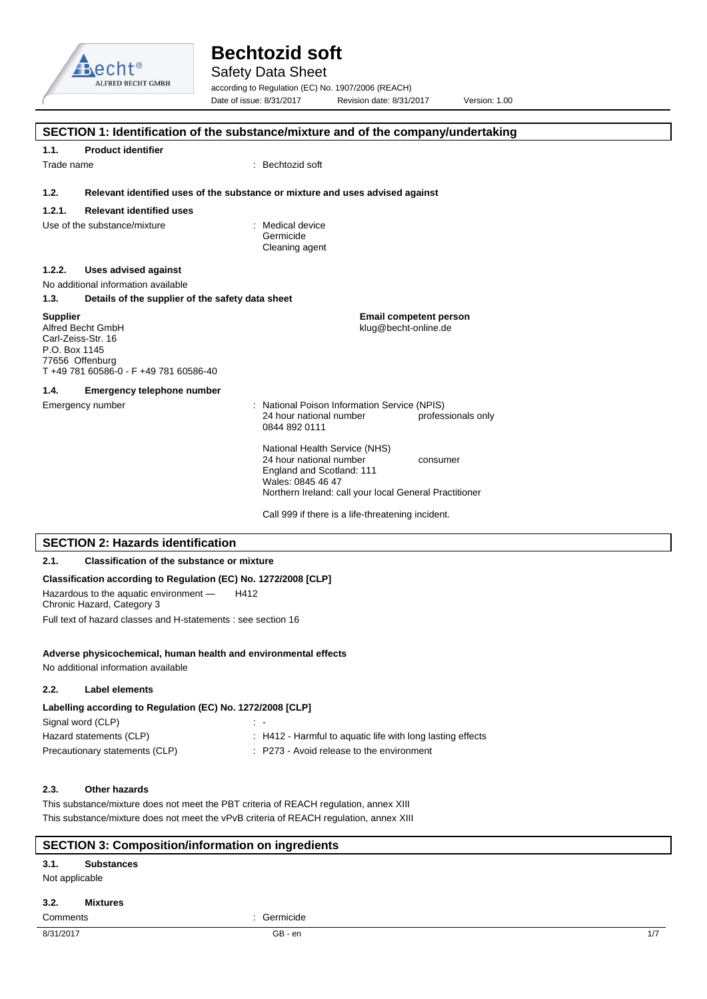

Safety Data Sheet

according to Regulation (EC) No. 1907/2006 (REACH) Date of issue: 8/31/2017 Revision date: 8/31/2017 Version: 1.00

|                                  |                                                                                                    | SECTION 1: Identification of the substance/mixture and of the company/undertaking                                                                                                |
|----------------------------------|----------------------------------------------------------------------------------------------------|----------------------------------------------------------------------------------------------------------------------------------------------------------------------------------|
| 1.1.                             | <b>Product identifier</b>                                                                          |                                                                                                                                                                                  |
| Trade name                       |                                                                                                    | : Bechtozid soft                                                                                                                                                                 |
| 1.2.                             |                                                                                                    | Relevant identified uses of the substance or mixture and uses advised against                                                                                                    |
| 1.2.1.                           | <b>Relevant identified uses</b>                                                                    |                                                                                                                                                                                  |
|                                  | Use of the substance/mixture                                                                       | : Medical device<br>Germicide<br>Cleaning agent                                                                                                                                  |
| 1.2.2.                           | Uses advised against                                                                               |                                                                                                                                                                                  |
|                                  | No additional information available                                                                |                                                                                                                                                                                  |
| 1.3.                             | Details of the supplier of the safety data sheet                                                   |                                                                                                                                                                                  |
| <b>Supplier</b><br>P.O. Box 1145 | Alfred Becht GmbH<br>Carl-Zeiss-Str. 16<br>77656 Offenburg<br>T+49 781 60586-0 - F+49 781 60586-40 | <b>Email competent person</b><br>klug@becht-online.de                                                                                                                            |
| 1.4.                             | <b>Emergency telephone number</b>                                                                  |                                                                                                                                                                                  |
|                                  | Emergency number                                                                                   | : National Poison Information Service (NPIS)<br>24 hour national number<br>professionals only<br>0844 892 0111                                                                   |
|                                  |                                                                                                    | National Health Service (NHS)<br>24 hour national number<br>consumer<br>England and Scotland: 111<br>Wales: 0845 46 47<br>Northern Ireland: call your local General Practitioner |
|                                  |                                                                                                    | Call 999 if there is a life-threatening incident.                                                                                                                                |
|                                  | <b>SECTION 2: Hazards identification</b>                                                           |                                                                                                                                                                                  |
| 2.1.                             | <b>Classification of the substance or mixture</b>                                                  |                                                                                                                                                                                  |
|                                  | Classification according to Regulation (EC) No. 1272/2008 [CLP]                                    |                                                                                                                                                                                  |
|                                  | Hazardous to the aquatic environment -<br>Chronic Hazard, Category 3                               | H412                                                                                                                                                                             |

Full text of hazard classes and H-statements : see section 16

### **Adverse physicochemical, human health and environmental effects**

No additional information available

## **2.2. Label elements**

| Labelling according to Regulation (EC) No. 1272/2008 [CLP] |                                                            |  |
|------------------------------------------------------------|------------------------------------------------------------|--|
| Signal word (CLP)                                          | $\sim$ $-$                                                 |  |
| Hazard statements (CLP)                                    | : H412 - Harmful to aquatic life with long lasting effects |  |
| Precautionary statements (CLP)                             | : P273 - Avoid release to the environment                  |  |

## **2.3. Other hazards**

This substance/mixture does not meet the PBT criteria of REACH regulation, annex XIII This substance/mixture does not meet the vPvB criteria of REACH regulation, annex XIII

## **SECTION 3: Composition/information on ingredients**

## **3.1. Substances**

Not applicable

## **3.2. Mixtures**

Comments : Germicide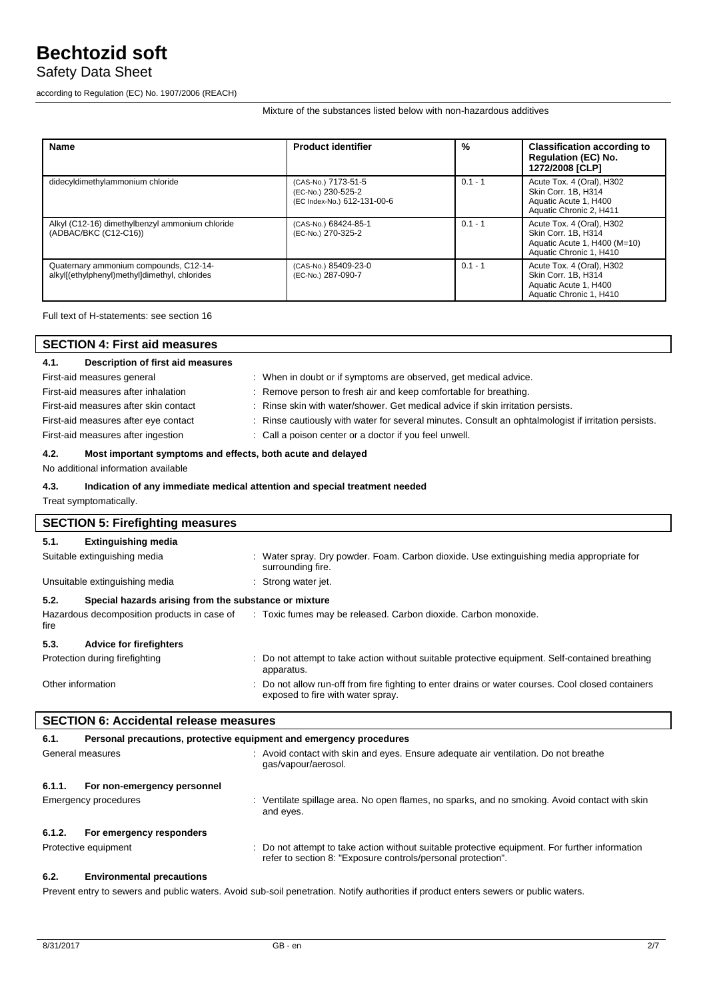## Safety Data Sheet

according to Regulation (EC) No. 1907/2006 (REACH)

Mixture of the substances listed below with non-hazardous additives

| <b>Name</b>                                                                             | <b>Product identifier</b>                                                | %         | <b>Classification according to</b><br><b>Regulation (EC) No.</b><br>1272/2008 [CLP]                         |
|-----------------------------------------------------------------------------------------|--------------------------------------------------------------------------|-----------|-------------------------------------------------------------------------------------------------------------|
| didecyldimethylammonium chloride                                                        | (CAS-No.) 7173-51-5<br>(EC-No.) 230-525-2<br>(EC Index-No.) 612-131-00-6 | $0.1 - 1$ | Acute Tox. 4 (Oral), H302<br>Skin Corr. 1B. H314<br>Aquatic Acute 1, H400<br>Aquatic Chronic 2, H411        |
| Alkyl (C12-16) dimethylbenzyl ammonium chloride<br>(ADBAC/BKC (C12-C16))                | (CAS-No.) 68424-85-1<br>(EC-No.) 270-325-2                               | $0.1 - 1$ | Acute Tox. 4 (Oral), H302<br>Skin Corr. 1B. H314<br>Aquatic Acute 1, H400 (M=10)<br>Aquatic Chronic 1, H410 |
| Quaternary ammonium compounds, C12-14-<br>alkyl[(ethylphenyl)methyl]dimethyl, chlorides | (CAS-No.) 85409-23-0<br>(EC-No.) 287-090-7                               | $0.1 - 1$ | Acute Tox. 4 (Oral), H302<br>Skin Corr. 1B. H314<br>Aquatic Acute 1, H400<br>Aquatic Chronic 1, H410        |

Full text of H-statements: see section 16

| <b>SECTION 4: First aid measures</b>                                |                                                                                                                                       |  |  |  |  |
|---------------------------------------------------------------------|---------------------------------------------------------------------------------------------------------------------------------------|--|--|--|--|
| Description of first aid measures<br>4.1.                           |                                                                                                                                       |  |  |  |  |
| First-aid measures general                                          | : When in doubt or if symptoms are observed, get medical advice.                                                                      |  |  |  |  |
| First-aid measures after inhalation                                 | Remove person to fresh air and keep comfortable for breathing.                                                                        |  |  |  |  |
| First-aid measures after skin contact                               | Rinse skin with water/shower. Get medical advice if skin irritation persists.                                                         |  |  |  |  |
| First-aid measures after eye contact                                | Rinse cautiously with water for several minutes. Consult an ophtalmologist if irritation persists.                                    |  |  |  |  |
| First-aid measures after ingestion                                  | : Call a poison center or a doctor if you feel unwell.                                                                                |  |  |  |  |
| 4.2.<br>Most important symptoms and effects, both acute and delayed |                                                                                                                                       |  |  |  |  |
| No additional information available                                 |                                                                                                                                       |  |  |  |  |
| 4.3.                                                                | Indication of any immediate medical attention and special treatment needed                                                            |  |  |  |  |
| Treat symptomatically.                                              |                                                                                                                                       |  |  |  |  |
| <b>SECTION 5: Firefighting measures</b>                             |                                                                                                                                       |  |  |  |  |
| 5.1.<br><b>Extinguishing media</b>                                  |                                                                                                                                       |  |  |  |  |
| Suitable extinguishing media                                        | : Water spray. Dry powder. Foam. Carbon dioxide. Use extinguishing media appropriate for<br>surrounding fire.                         |  |  |  |  |
| Unsuitable extinguishing media                                      | : Strong water jet.                                                                                                                   |  |  |  |  |
| 5.2.<br>Special hazards arising from the substance or mixture       |                                                                                                                                       |  |  |  |  |
| Hazardous decomposition products in case of<br>fire                 | : Toxic fumes may be released. Carbon dioxide. Carbon monoxide.                                                                       |  |  |  |  |
| 5.3.<br><b>Advice for firefighters</b>                              |                                                                                                                                       |  |  |  |  |
| Protection during firefighting                                      | : Do not attempt to take action without suitable protective equipment. Self-contained breathing<br>apparatus.                         |  |  |  |  |
| Other information                                                   | Do not allow run-off from fire fighting to enter drains or water courses. Cool closed containers<br>exposed to fire with water spray. |  |  |  |  |
| <b>SECTION 6: Accidental release measures</b>                       |                                                                                                                                       |  |  |  |  |

|        | <b>SECTION 6: Accidental release measures</b> |                                                                                                                                                                |  |  |
|--------|-----------------------------------------------|----------------------------------------------------------------------------------------------------------------------------------------------------------------|--|--|
| 6.1.   |                                               | Personal precautions, protective equipment and emergency procedures                                                                                            |  |  |
|        | General measures                              | : Avoid contact with skin and eyes. Ensure adequate air ventilation. Do not breathe<br>gas/vapour/aerosol.                                                     |  |  |
| 6.1.1. | For non-emergency personnel                   |                                                                                                                                                                |  |  |
|        | Emergency procedures                          | : Ventilate spillage area. No open flames, no sparks, and no smoking. Avoid contact with skin<br>and eyes.                                                     |  |  |
| 6.1.2. | For emergency responders                      |                                                                                                                                                                |  |  |
|        | Protective equipment                          | : Do not attempt to take action without suitable protective equipment. For further information<br>refer to section 8: "Exposure controls/personal protection". |  |  |
|        |                                               |                                                                                                                                                                |  |  |

## **6.2. Environmental precautions**

Prevent entry to sewers and public waters. Avoid sub-soil penetration. Notify authorities if product enters sewers or public waters.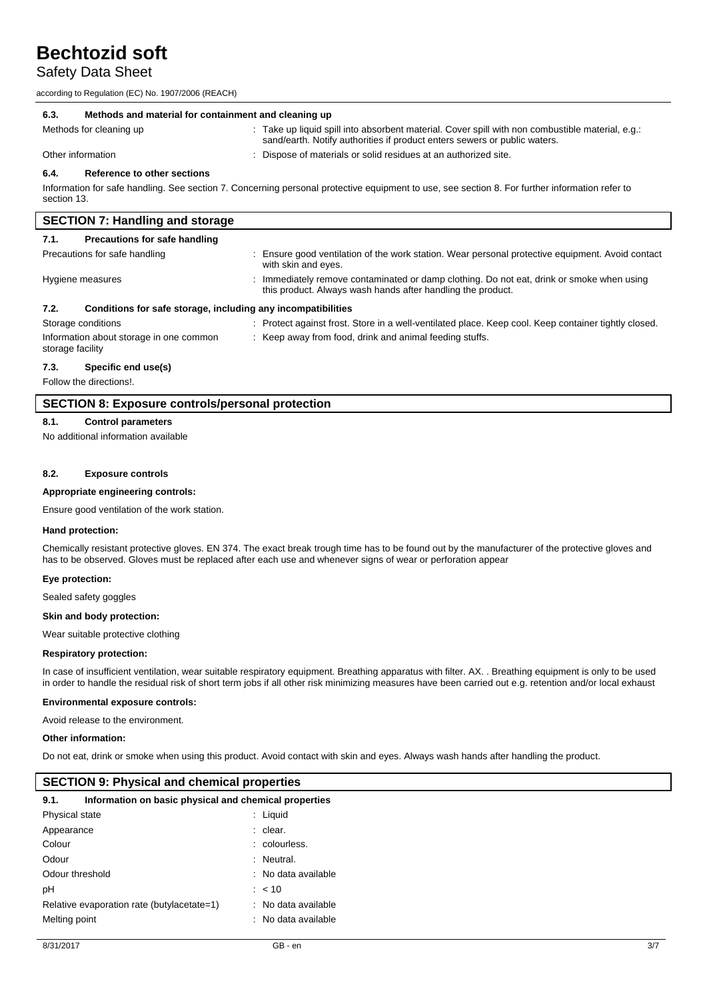## Safety Data Sheet

according to Regulation (EC) No. 1907/2006 (REACH)

| 6.3.<br>Methods and material for containment and cleaning up                                                                                                                                         |                                                                                                                                                                               |  |
|------------------------------------------------------------------------------------------------------------------------------------------------------------------------------------------------------|-------------------------------------------------------------------------------------------------------------------------------------------------------------------------------|--|
| Methods for cleaning up                                                                                                                                                                              | : Take up liquid spill into absorbent material. Cover spill with non combustible material, e.g.:<br>sand/earth. Notify authorities if product enters sewers or public waters. |  |
| Other information                                                                                                                                                                                    | : Dispose of materials or solid residues at an authorized site.                                                                                                               |  |
| Reference to other sections<br>6.4.<br>Information for safe handling. See section 7. Concerning personal protective equipment to use, see section 8. For further information refer to<br>section 13. |                                                                                                                                                                               |  |
| <b>SECTION 7: Handling and storage</b>                                                                                                                                                               |                                                                                                                                                                               |  |

| 7.1.               | Precautions for safe handling                                |                                                                                                                                                        |
|--------------------|--------------------------------------------------------------|--------------------------------------------------------------------------------------------------------------------------------------------------------|
|                    | Precautions for safe handling                                | Ensure good ventilation of the work station. Wear personal protective equipment. Avoid contact<br>with skin and eyes.                                  |
| Hygiene measures   |                                                              | Immediately remove contaminated or damp clothing. Do not eat, drink or smoke when using<br>this product. Always wash hands after handling the product. |
| 7.2.               | Conditions for safe storage, including any incompatibilities |                                                                                                                                                        |
| Storage conditions |                                                              | Protect against frost. Store in a well-ventilated place. Keep cool. Keep container tightly closed.                                                     |
| storage facility   | Information about storage in one common                      | Keep away from food, drink and animal feeding stuffs.                                                                                                  |

#### **7.3. Specific end use(s)**

Follow the directions!.

### **SECTION 8: Exposure controls/personal protection**

#### **8.1. Control parameters**

No additional information available

#### **8.2. Exposure controls**

#### **Appropriate engineering controls:**

Ensure good ventilation of the work station.

#### **Hand protection:**

Chemically resistant protective gloves. EN 374. The exact break trough time has to be found out by the manufacturer of the protective gloves and has to be observed. Gloves must be replaced after each use and whenever signs of wear or perforation appear

#### **Eye protection:**

Sealed safety goggles

#### **Skin and body protection:**

Wear suitable protective clothing

#### **Respiratory protection:**

In case of insufficient ventilation, wear suitable respiratory equipment. Breathing apparatus with filter. AX. . Breathing equipment is only to be used in order to handle the residual risk of short term jobs if all other risk minimizing measures have been carried out e.g. retention and/or local exhaust

#### **Environmental exposure controls:**

Avoid release to the environment.

#### **Other information:**

Do not eat, drink or smoke when using this product. Avoid contact with skin and eyes. Always wash hands after handling the product.

#### **SECTION 9: Physical and chemical properties**

| 9.1.            | Information on basic physical and chemical properties |                     |
|-----------------|-------------------------------------------------------|---------------------|
| Physical state  |                                                       | : Liquid            |
| Appearance      |                                                       | : clear.            |
| Colour          |                                                       | : colourless.       |
| Odour           |                                                       | : Neutral.          |
| Odour threshold |                                                       | : No data available |
| рH              |                                                       | $: 10^{-1}$         |
|                 | Relative evaporation rate (butylacetate=1)            | : No data available |
| Melting point   |                                                       | : No data available |
|                 |                                                       |                     |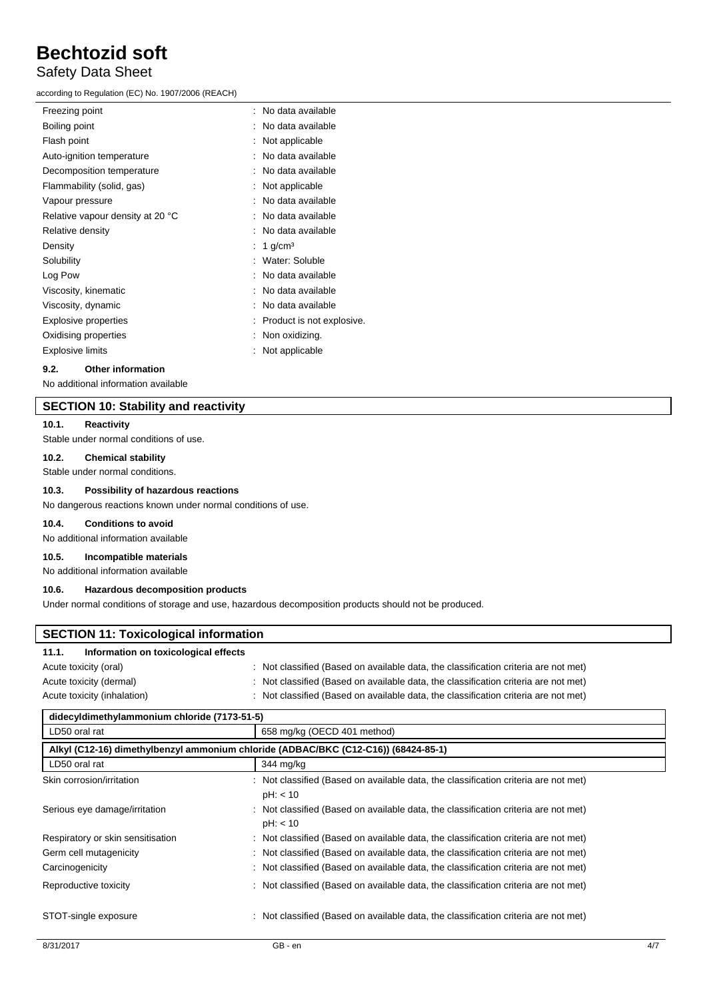## Safety Data Sheet

according to Regulation (EC) No. 1907/2006 (REACH)

| Freezing point                   | : No data available         |
|----------------------------------|-----------------------------|
| Boiling point                    | : No data available         |
| Flash point                      | : Not applicable            |
| Auto-ignition temperature        | No data available           |
| Decomposition temperature        | No data available           |
| Flammability (solid, gas)        | Not applicable              |
| Vapour pressure                  | : No data available         |
| Relative vapour density at 20 °C | : No data available         |
| Relative density                 | No data available           |
| Density                          | 1 $g/cm3$                   |
| Solubility                       | : Water: Soluble            |
| Log Pow                          | No data available           |
| Viscosity, kinematic             | No data available           |
| Viscosity, dynamic               | No data available           |
| <b>Explosive properties</b>      | : Product is not explosive. |
| Oxidising properties             | $:$ Non oxidizing.          |
| Explosive limits                 | Not applicable              |
|                                  |                             |

#### **9.2. Other information**

No additional information available

## **SECTION 10: Stability and reactivity**

#### **10.1. Reactivity**

Stable under normal conditions of use.

#### **10.2. Chemical stability**

Stable under normal conditions.

#### **10.3. Possibility of hazardous reactions**

No dangerous reactions known under normal conditions of use.

#### **10.4. Conditions to avoid**

No additional information available

#### **10.5. Incompatible materials**

No additional information available

### **10.6. Hazardous decomposition products**

Under normal conditions of storage and use, hazardous decomposition products should not be produced.

| <b>SECTION 11: Toxicological information</b>                                       |                                                                                                 |  |
|------------------------------------------------------------------------------------|-------------------------------------------------------------------------------------------------|--|
| Information on toxicological effects<br>11.1.                                      |                                                                                                 |  |
| Acute toxicity (oral)                                                              | : Not classified (Based on available data, the classification criteria are not met)             |  |
| Acute toxicity (dermal)                                                            | Not classified (Based on available data, the classification criteria are not met)               |  |
| Acute toxicity (inhalation)                                                        | Not classified (Based on available data, the classification criteria are not met)               |  |
| didecyldimethylammonium chloride (7173-51-5)                                       |                                                                                                 |  |
| LD50 oral rat                                                                      | 658 mg/kg (OECD 401 method)                                                                     |  |
| Alkyl (C12-16) dimethylbenzyl ammonium chloride (ADBAC/BKC (C12-C16)) (68424-85-1) |                                                                                                 |  |
| LD50 oral rat                                                                      | 344 mg/kg                                                                                       |  |
| Skin corrosion/irritation                                                          | Not classified (Based on available data, the classification criteria are not met)<br>pH: < 10   |  |
| Serious eye damage/irritation                                                      | : Not classified (Based on available data, the classification criteria are not met)<br>pH: < 10 |  |
| Respiratory or skin sensitisation                                                  | Not classified (Based on available data, the classification criteria are not met)               |  |
| Germ cell mutagenicity                                                             | Not classified (Based on available data, the classification criteria are not met)               |  |
| Carcinogenicity                                                                    | Not classified (Based on available data, the classification criteria are not met)               |  |
| Reproductive toxicity                                                              | Not classified (Based on available data, the classification criteria are not met)               |  |
| STOT-single exposure                                                               | Not classified (Based on available data, the classification criteria are not met)               |  |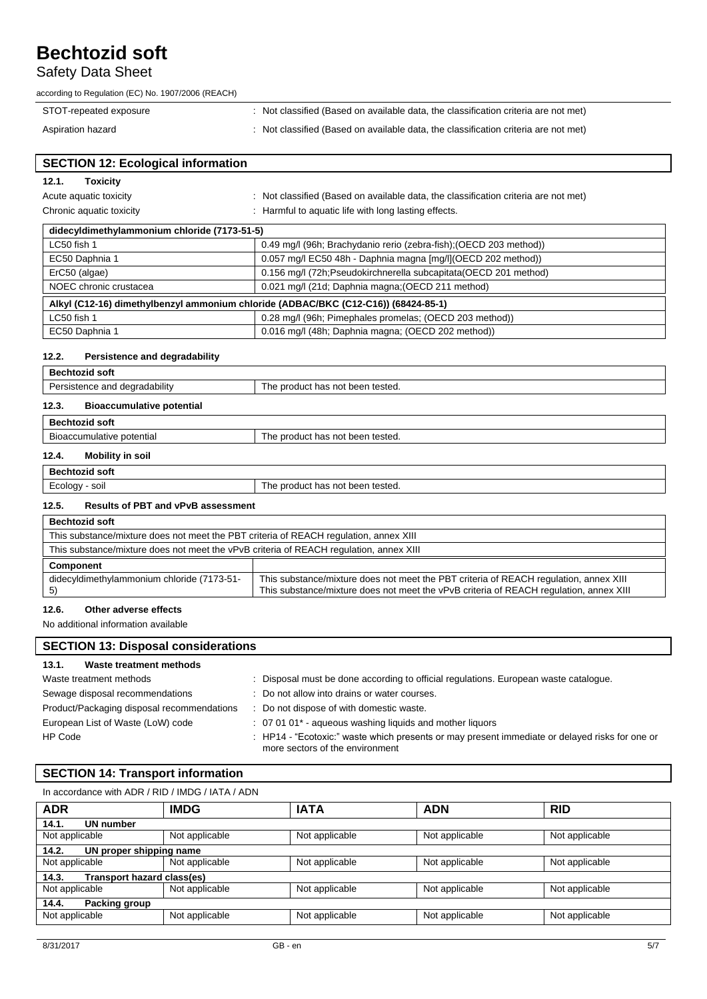## Safety Data Sheet

| according to Regulation (EC) No. 1907/2006 (REACH) |  |  |
|----------------------------------------------------|--|--|
|                                                    |  |  |

| STOT-repeated exposure | Not classified (Based on available data, the classification criteria are not met) |
|------------------------|-----------------------------------------------------------------------------------|
| Aspiration hazard      | Not classified (Based on available data, the classification criteria are not met) |

EC50 Daphnia 1 0.016 mg/l (48h; Daphnia magna; (OECD 202 method))

| <b>SECTION 12: Ecological information</b>                                          |                                                                                     |  |  |
|------------------------------------------------------------------------------------|-------------------------------------------------------------------------------------|--|--|
| 12.1.<br>Toxicity                                                                  |                                                                                     |  |  |
| Acute aquatic toxicity                                                             | : Not classified (Based on available data, the classification criteria are not met) |  |  |
| Chronic aquatic toxicity                                                           | : Harmful to aquatic life with long lasting effects.                                |  |  |
| didecyldimethylammonium chloride (7173-51-5)                                       |                                                                                     |  |  |
| LC50 fish 1                                                                        | 0.49 mg/l (96h; Brachydanio rerio (zebra-fish); (OECD 203 method))                  |  |  |
| EC50 Daphnia 1                                                                     | 0.057 mg/l EC50 48h - Daphnia magna [mg/l](OECD 202 method))                        |  |  |
| ErC50 (algae)                                                                      | 0.156 mg/l (72h; Pseudokirchnerella subcapitata (OECD 201 method)                   |  |  |
| NOEC chronic crustacea                                                             | 0.021 mg/l (21d; Daphnia magna; (OECD 211 method)                                   |  |  |
| Alkyl (C12-16) dimethylbenzyl ammonium chloride (ADBAC/BKC (C12-C16)) (68424-85-1) |                                                                                     |  |  |
| LC50 fish 1                                                                        | 0.28 mg/l (96h; Pimephales promelas; (OECD 203 method))                             |  |  |

### **12.2. Persistence and degradability**

| <b>Bechtozid soft</b>                     |                                  |  |  |
|-------------------------------------------|----------------------------------|--|--|
| Persistence and degradability             | The product has not been tested. |  |  |
| <b>Bioaccumulative potential</b><br>12.3. |                                  |  |  |
| <b>Bechtozid soft</b>                     |                                  |  |  |
| Bioaccumulative potential                 | The product has not been tested. |  |  |
| 12.4.<br>Mobility in soil                 |                                  |  |  |

## **Bechtozid soft**

| PUULINGIN JUIL                  |                                                               |  |
|---------------------------------|---------------------------------------------------------------|--|
| SOII<br>ירזר<br>$ -$<br>.<br>J. | tested.<br>eroduct<br>heen<br>ı he<br>not .<br>has<br>.<br>__ |  |
|                                 |                                                               |  |

## **12.5. Results of PBT and vPvB assessment**

| <b>Bechtozid soft</b>                                                                  |                                                                                                                                                                                 |  |  |
|----------------------------------------------------------------------------------------|---------------------------------------------------------------------------------------------------------------------------------------------------------------------------------|--|--|
| This substance/mixture does not meet the PBT criteria of REACH regulation, annex XIII  |                                                                                                                                                                                 |  |  |
| This substance/mixture does not meet the vPvB criteria of REACH regulation, annex XIII |                                                                                                                                                                                 |  |  |
| Component                                                                              |                                                                                                                                                                                 |  |  |
| didecyldimethylammonium chloride (7173-51-                                             | This substance/mixture does not meet the PBT criteria of REACH regulation, annex XIII<br>This substance/mixture does not meet the vPvB criteria of REACH regulation, annex XIII |  |  |

#### **12.6. Other adverse effects**

No additional information available

| <b>SECTION 13: Disposal considerations</b> |                                                                                                                                   |  |  |
|--------------------------------------------|-----------------------------------------------------------------------------------------------------------------------------------|--|--|
| 13.1.<br>Waste treatment methods           |                                                                                                                                   |  |  |
| Waste treatment methods                    | Disposal must be done according to official regulations. European waste catalogue.<br>÷.                                          |  |  |
| Sewage disposal recommendations            | : Do not allow into drains or water courses.                                                                                      |  |  |
| Product/Packaging disposal recommendations | Do not dispose of with domestic waste.                                                                                            |  |  |
| European List of Waste (LoW) code          | $\therefore$ 07 01 01 <sup>*</sup> - agueous washing liquids and mother liquors                                                   |  |  |
| HP Code                                    | : HP14 - "Ecotoxic:" waste which presents or may present immediate or delayed risks for one or<br>more sectors of the environment |  |  |

## **SECTION 14: Transport information**

In accordance with ADR / RID / IMDG / IATA / ADN

| <b>ADR</b>                          | <b>IMDG</b>    | <b>IATA</b>    | <b>ADN</b>     | <b>RID</b>     |  |
|-------------------------------------|----------------|----------------|----------------|----------------|--|
| UN number<br>14.1.                  |                |                |                |                |  |
| Not applicable                      | Not applicable | Not applicable | Not applicable | Not applicable |  |
| UN proper shipping name<br>14.2.    |                |                |                |                |  |
| Not applicable                      | Not applicable | Not applicable | Not applicable | Not applicable |  |
| Transport hazard class(es)<br>14.3. |                |                |                |                |  |
| Not applicable                      | Not applicable | Not applicable | Not applicable | Not applicable |  |
| 14.4.<br>Packing group              |                |                |                |                |  |
| Not applicable                      | Not applicable | Not applicable | Not applicable | Not applicable |  |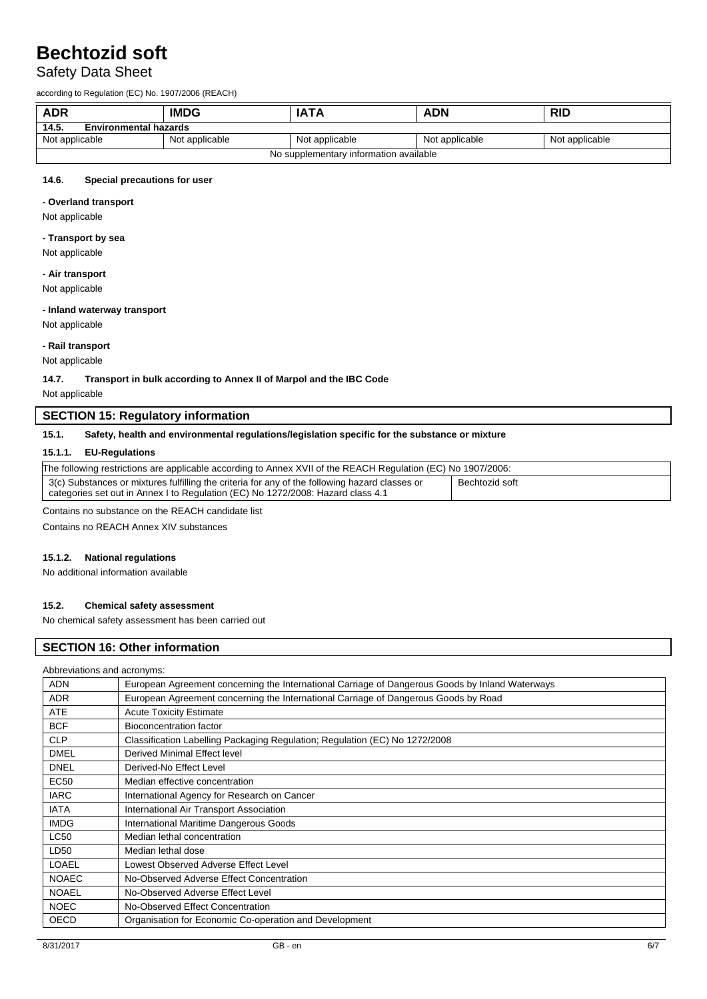## Safety Data Sheet

according to Regulation (EC) No. 1907/2006 (REACH)

| <b>ADR</b><br><b>IMDG</b>              |                | <b>IATA</b>    | <b>ADN</b>     | <b>RID</b>     |
|----------------------------------------|----------------|----------------|----------------|----------------|
| 14.5.<br><b>Environmental hazards</b>  |                |                |                |                |
| Not applicable                         | Not applicable | Not applicable | Not applicable | Not applicable |
| No supplementary information available |                |                |                |                |

## **14.6. Special precautions for user**

#### **- Overland transport**

Not applicable

#### **- Transport by sea**

Not applicable

#### **- Air transport**

Not applicable

#### **- Inland waterway transport**

Not applicable

#### **- Rail transport**

Not applicable

**14.7. Transport in bulk according to Annex II of Marpol and the IBC Code**

Not applicable

## **SECTION 15: Regulatory information**

### **15.1. Safety, health and environmental regulations/legislation specific for the substance or mixture**

#### **15.1.1. EU-Regulations**

| The following restrictions are applicable according to Annex XVII of the REACH Regulation (EC) No 1907/2006:                                                                      |                |  |  |
|-----------------------------------------------------------------------------------------------------------------------------------------------------------------------------------|----------------|--|--|
| 3(c) Substances or mixtures fulfilling the criteria for any of the following hazard classes or<br>categories set out in Annex I to Regulation (EC) No 1272/2008: Hazard class 4.1 | Bechtozid soft |  |  |

Contains no substance on the REACH candidate list

Contains no REACH Annex XIV substances

#### **15.1.2. National regulations**

No additional information available

#### **15.2. Chemical safety assessment**

No chemical safety assessment has been carried out

## **SECTION 16: Other information**

| Abbreviations and acronyms: |                                                                                                 |
|-----------------------------|-------------------------------------------------------------------------------------------------|
| <b>ADN</b>                  | European Agreement concerning the International Carriage of Dangerous Goods by Inland Waterways |
| <b>ADR</b>                  | European Agreement concerning the International Carriage of Dangerous Goods by Road             |
| <b>ATE</b>                  | <b>Acute Toxicity Estimate</b>                                                                  |
| <b>BCF</b>                  | <b>Bioconcentration factor</b>                                                                  |
| <b>CLP</b>                  | Classification Labelling Packaging Regulation; Regulation (EC) No 1272/2008                     |
| <b>DMEL</b>                 | Derived Minimal Effect level                                                                    |
| <b>DNEL</b>                 | Derived-No Effect Level                                                                         |
| EC <sub>50</sub>            | Median effective concentration                                                                  |
| <b>IARC</b>                 | International Agency for Research on Cancer                                                     |
| <b>IATA</b>                 | International Air Transport Association                                                         |
| <b>IMDG</b>                 | International Maritime Dangerous Goods                                                          |
| <b>LC50</b>                 | Median lethal concentration                                                                     |
| LD50                        | Median lethal dose                                                                              |
| <b>LOAEL</b>                | Lowest Observed Adverse Effect Level                                                            |
| <b>NOAEC</b>                | No-Observed Adverse Effect Concentration                                                        |
| <b>NOAEL</b>                | No-Observed Adverse Effect Level                                                                |
| <b>NOEC</b>                 | No-Observed Effect Concentration                                                                |
| <b>OECD</b>                 | Organisation for Economic Co-operation and Development                                          |